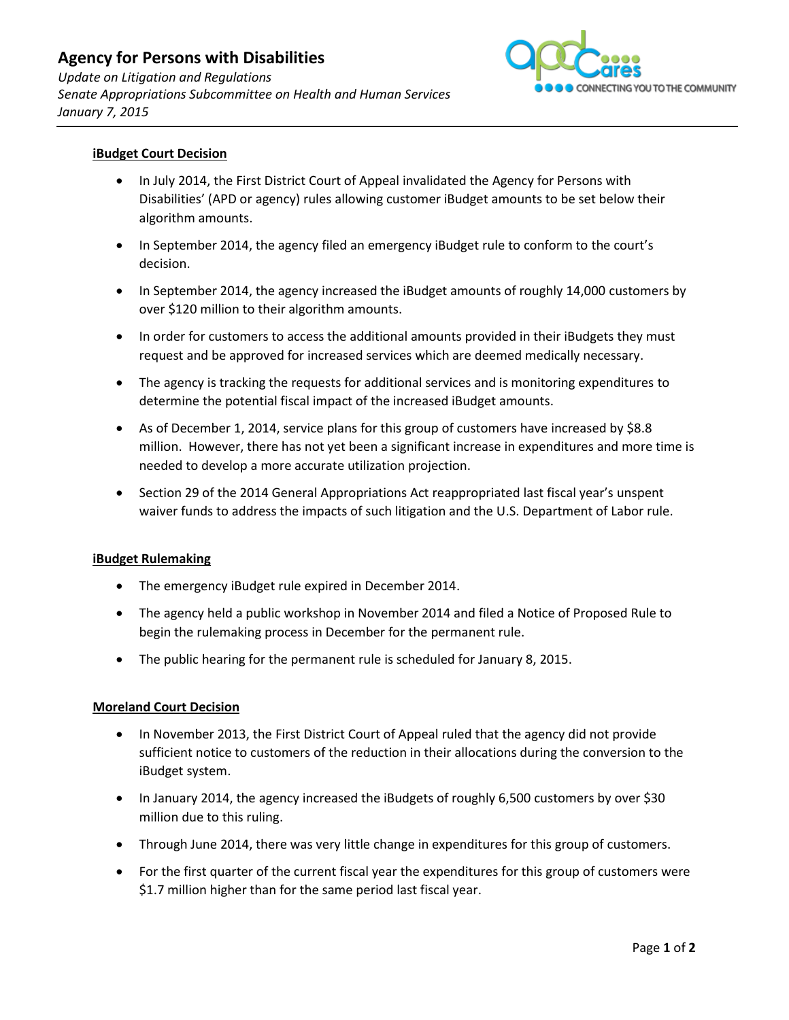

## **iBudget Court Decision**

- In July 2014, the First District Court of Appeal invalidated the Agency for Persons with Disabilities' (APD or agency) rules allowing customer iBudget amounts to be set below their algorithm amounts.
- In September 2014, the agency filed an emergency iBudget rule to conform to the court's decision.
- In September 2014, the agency increased the iBudget amounts of roughly 14,000 customers by over \$120 million to their algorithm amounts.
- In order for customers to access the additional amounts provided in their iBudgets they must request and be approved for increased services which are deemed medically necessary.
- The agency is tracking the requests for additional services and is monitoring expenditures to determine the potential fiscal impact of the increased iBudget amounts.
- As of December 1, 2014, service plans for this group of customers have increased by \$8.8 million. However, there has not yet been a significant increase in expenditures and more time is needed to develop a more accurate utilization projection.
- Section 29 of the 2014 General Appropriations Act reappropriated last fiscal year's unspent waiver funds to address the impacts of such litigation and the U.S. Department of Labor rule.

## **iBudget Rulemaking**

- The emergency iBudget rule expired in December 2014.
- The agency held a public workshop in November 2014 and filed a Notice of Proposed Rule to begin the rulemaking process in December for the permanent rule.
- The public hearing for the permanent rule is scheduled for January 8, 2015.

## **Moreland Court Decision**

- In November 2013, the First District Court of Appeal ruled that the agency did not provide sufficient notice to customers of the reduction in their allocations during the conversion to the iBudget system.
- In January 2014, the agency increased the iBudgets of roughly 6,500 customers by over \$30 million due to this ruling.
- Through June 2014, there was very little change in expenditures for this group of customers.
- For the first quarter of the current fiscal year the expenditures for this group of customers were \$1.7 million higher than for the same period last fiscal year.